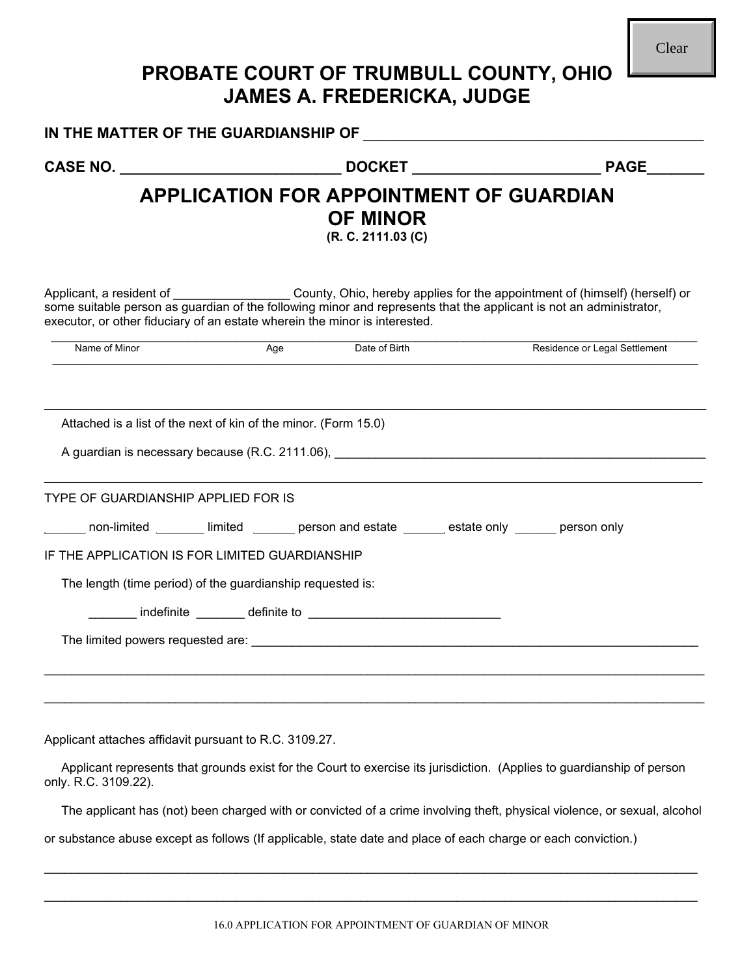## **PROBATE COURT OF TRUMBULL COUNTY, OHIO JAMES A. FREDERICKA, JUDGE**

|                                                                            |     | <b>OF MINOR</b><br>(R. C. 2111.03 (C) |                                                                                                                                                                                                                                                                                                                                                                                                                                                                                                                                                                                                                                                                                                                                                                                                                                                                                                                                                                                                                                       |  |  |  |  |  |  |
|----------------------------------------------------------------------------|-----|---------------------------------------|---------------------------------------------------------------------------------------------------------------------------------------------------------------------------------------------------------------------------------------------------------------------------------------------------------------------------------------------------------------------------------------------------------------------------------------------------------------------------------------------------------------------------------------------------------------------------------------------------------------------------------------------------------------------------------------------------------------------------------------------------------------------------------------------------------------------------------------------------------------------------------------------------------------------------------------------------------------------------------------------------------------------------------------|--|--|--|--|--|--|
| executor, or other fiduciary of an estate wherein the minor is interested. |     |                                       | <b>APPLICATION FOR APPOINTMENT OF GUARDIAN</b><br>Applicant, a resident of ______________________County, Ohio, hereby applies for the appointment of (himself) (herself) or some suitable person as guardian of the following minor and represents that the applicant is not an<br>Residence or Legal Settlement<br>A guardian is necessary because (R.C. 2111.06), <b>All and Structure Control and Structure Control Control Control Control Control Control Control Control Control Control Control Control Control Control Control Control Contr</b><br>_____ non-limited ________ limited _______ person and estate ______ estate only ______ person only<br>Applicant represents that grounds exist for the Court to exercise its jurisdiction. (Applies to guardianship of person<br>The applicant has (not) been charged with or convicted of a crime involving theft, physical violence, or sexual, alcohol<br>or substance abuse except as follows (If applicable, state date and place of each charge or each conviction.) |  |  |  |  |  |  |
| Name of Minor                                                              | Age | Date of Birth                         |                                                                                                                                                                                                                                                                                                                                                                                                                                                                                                                                                                                                                                                                                                                                                                                                                                                                                                                                                                                                                                       |  |  |  |  |  |  |
| Attached is a list of the next of kin of the minor. (Form 15.0)            |     |                                       |                                                                                                                                                                                                                                                                                                                                                                                                                                                                                                                                                                                                                                                                                                                                                                                                                                                                                                                                                                                                                                       |  |  |  |  |  |  |
| TYPE OF GUARDIANSHIP APPLIED FOR IS                                        |     |                                       |                                                                                                                                                                                                                                                                                                                                                                                                                                                                                                                                                                                                                                                                                                                                                                                                                                                                                                                                                                                                                                       |  |  |  |  |  |  |
| IF THE APPLICATION IS FOR LIMITED GUARDIANSHIP                             |     |                                       |                                                                                                                                                                                                                                                                                                                                                                                                                                                                                                                                                                                                                                                                                                                                                                                                                                                                                                                                                                                                                                       |  |  |  |  |  |  |
| The length (time period) of the guardianship requested is:                 |     |                                       |                                                                                                                                                                                                                                                                                                                                                                                                                                                                                                                                                                                                                                                                                                                                                                                                                                                                                                                                                                                                                                       |  |  |  |  |  |  |
|                                                                            |     |                                       |                                                                                                                                                                                                                                                                                                                                                                                                                                                                                                                                                                                                                                                                                                                                                                                                                                                                                                                                                                                                                                       |  |  |  |  |  |  |
|                                                                            |     |                                       |                                                                                                                                                                                                                                                                                                                                                                                                                                                                                                                                                                                                                                                                                                                                                                                                                                                                                                                                                                                                                                       |  |  |  |  |  |  |
|                                                                            |     |                                       |                                                                                                                                                                                                                                                                                                                                                                                                                                                                                                                                                                                                                                                                                                                                                                                                                                                                                                                                                                                                                                       |  |  |  |  |  |  |
| Applicant attaches affidavit pursuant to R.C. 3109.27.                     |     |                                       |                                                                                                                                                                                                                                                                                                                                                                                                                                                                                                                                                                                                                                                                                                                                                                                                                                                                                                                                                                                                                                       |  |  |  |  |  |  |
| only. R.C. 3109.22).                                                       |     |                                       |                                                                                                                                                                                                                                                                                                                                                                                                                                                                                                                                                                                                                                                                                                                                                                                                                                                                                                                                                                                                                                       |  |  |  |  |  |  |
|                                                                            |     |                                       |                                                                                                                                                                                                                                                                                                                                                                                                                                                                                                                                                                                                                                                                                                                                                                                                                                                                                                                                                                                                                                       |  |  |  |  |  |  |
|                                                                            |     |                                       |                                                                                                                                                                                                                                                                                                                                                                                                                                                                                                                                                                                                                                                                                                                                                                                                                                                                                                                                                                                                                                       |  |  |  |  |  |  |

 $\mathcal{L}_\text{max} = \mathcal{L}_\text{max} = \mathcal{L}_\text{max} = \mathcal{L}_\text{max} = \mathcal{L}_\text{max} = \mathcal{L}_\text{max} = \mathcal{L}_\text{max} = \mathcal{L}_\text{max} = \mathcal{L}_\text{max} = \mathcal{L}_\text{max} = \mathcal{L}_\text{max} = \mathcal{L}_\text{max} = \mathcal{L}_\text{max} = \mathcal{L}_\text{max} = \mathcal{L}_\text{max} = \mathcal{L}_\text{max} = \mathcal{L}_\text{max} = \mathcal{L}_\text{max} = \mathcal{$ 

 $\mathcal{L}_\text{max}$  , and the set of the set of the set of the set of the set of the set of the set of the set of the set of the set of the set of the set of the set of the set of the set of the set of the set of the set of the